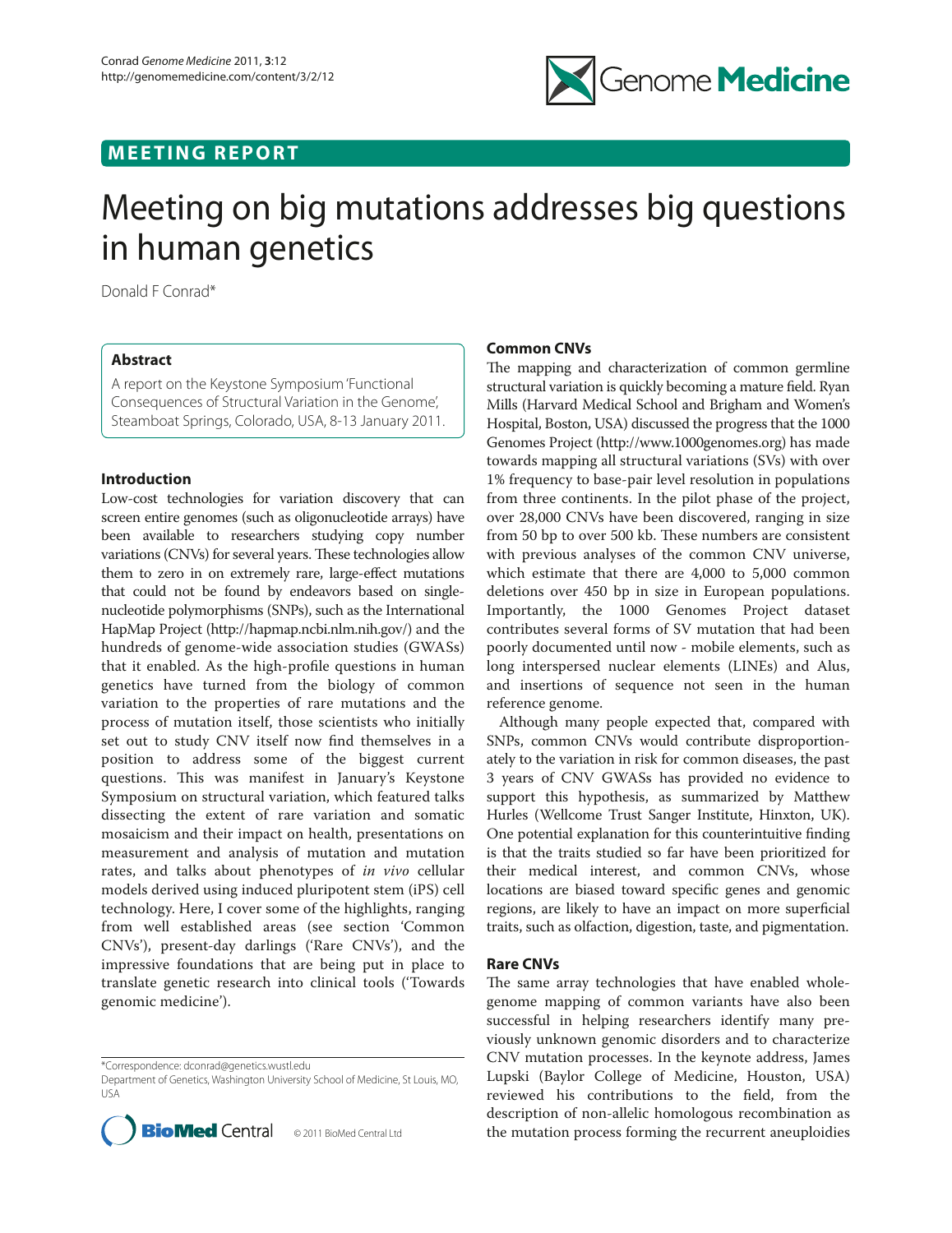## **MEETING REPORT**



# Meeting on big mutations addresses big questions in human genetics

Donald F Conrad\*

### **Abstract**

A report on the Keystone Symposium 'Functional Consequences of Structural Variation in the Genome', Steamboat Springs, Colorado, USA, 8-13 January 2011.

### **Introduction**

Low-cost technologies for variation discovery that can screen entire genomes (such as oligonucleotide arrays) have been available to researchers studying copy number variations (CNVs) for several years. These technologies allow them to zero in on extremely rare, large-effect mutations that could not be found by endeavors based on singlenucleotide polymorphisms (SNPs), such as the International HapMap Project (http://hapmap.ncbi.nlm.nih.gov/) and the hundreds of genome-wide association studies (GWASs) that it enabled. As the high-profile questions in human genetics have turned from the biology of common variation to the properties of rare mutations and the process of mutation itself, those scientists who initially set out to study CNV itself now find themselves in a position to address some of the biggest current questions. This was manifest in January's Keystone Symposium on structural variation, which featured talks dissecting the extent of rare variation and somatic mosaicism and their impact on health, presentations on measurement and analysis of mutation and mutation rates, and talks about phenotypes of *in vivo* cellular models derived using induced pluripotent stem (iPS) cell technology. Here, I cover some of the highlights, ranging from well established areas (see section 'Common CNVs'), present-day darlings ('Rare CNVs'), and the impressive foundations that are being put in place to translate genetic research into clinical tools ('Towards genomic medicine').

Department of Genetics, Washington University School of Medicine, St Louis, MO, USA



#### **Common CNVs**

The mapping and characterization of common germline structural variation is quickly becoming a mature field. Ryan Mills (Harvard Medical School and Brigham and Women's Hospital, Boston, USA) discussed the progress that the 1000 Genomes Project (http://www.1000genomes.org) has made towards mapping all structural variations (SVs) with over 1% frequency to base-pair level resolution in populations from three continents. In the pilot phase of the project, over 28,000 CNVs have been discovered, ranging in size from 50 bp to over 500 kb. These numbers are consistent with previous analyses of the common CNV universe, which estimate that there are 4,000 to 5,000 common deletions over 450 bp in size in European populations. Importantly, the 1000 Genomes Project dataset contributes several forms of SV mutation that had been poorly documented until now - mobile elements, such as long interspersed nuclear elements (LINEs) and Alus, and insertions of sequence not seen in the human reference genome.

Although many people expected that, compared with SNPs, common CNVs would contribute disproportionately to the variation in risk for common diseases, the past 3 years of CNV GWASs has provided no evidence to support this hypothesis, as summarized by Matthew Hurles (Wellcome Trust Sanger Institute, Hinxton, UK). One potential explanation for this counterintuitive finding is that the traits studied so far have been prioritized for their medical interest, and common CNVs, whose locations are biased toward specific genes and genomic regions, are likely to have an impact on more superficial traits, such as olfaction, digestion, taste, and pigmentation.

#### **Rare CNVs**

The same array technologies that have enabled wholegenome mapping of common variants have also been successful in helping researchers identify many previously unknown genomic disorders and to characterize CNV mutation processes. In the keynote address, James Lupski (Baylor College of Medicine, Houston, USA) reviewed his contributions to the field, from the description of non-allelic homologous recombination as the mutation process forming the recurrent aneuploidies

<sup>\*</sup>Correspondence: dconrad@genetics.wustl.edu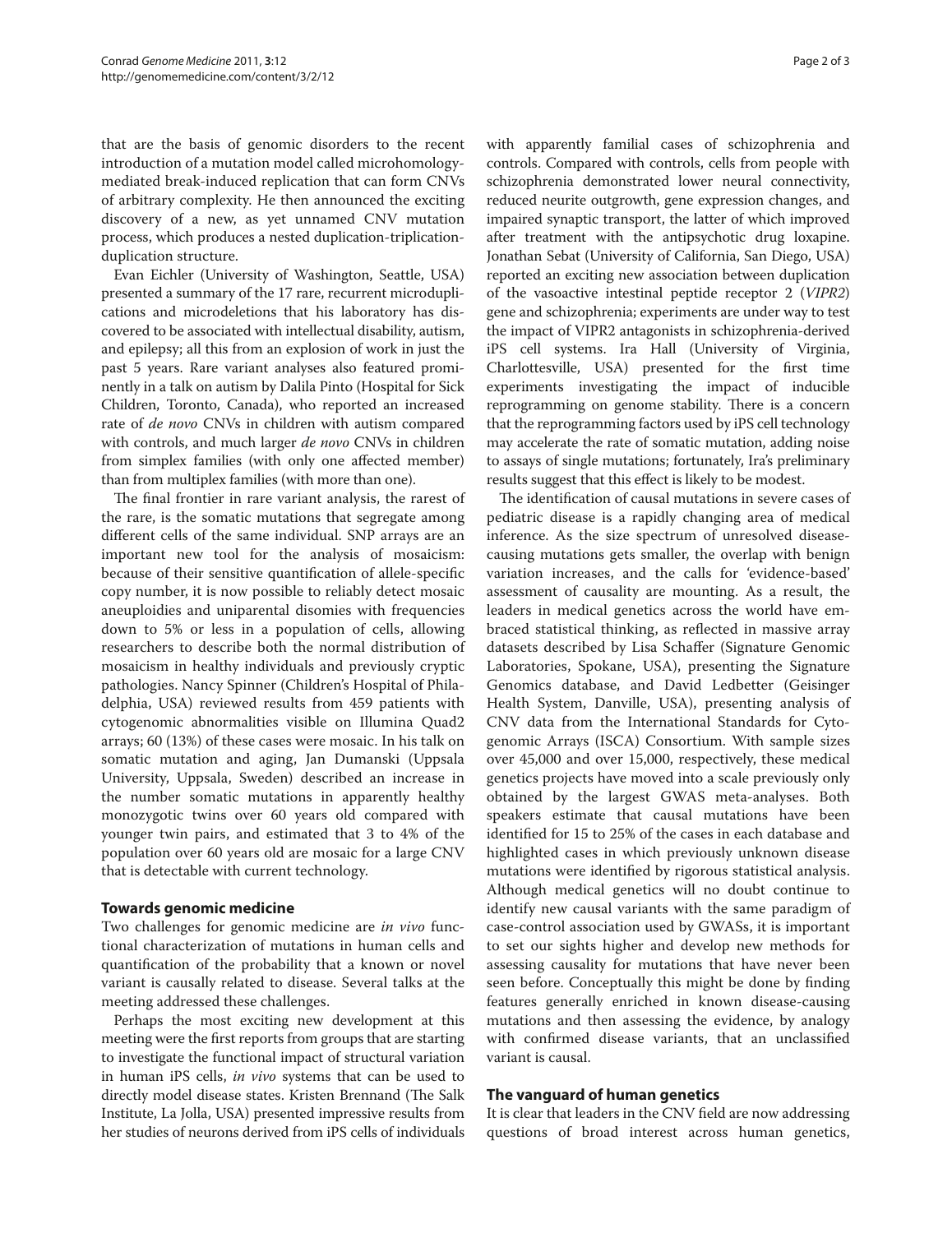that are the basis of genomic disorders to the recent introduction of a mutation model called microhomologymediated break-induced replication that can form CNVs of arbitrary complexity. He then announced the exciting discovery of a new, as yet unnamed CNV mutation process, which produces a nested duplication-triplicationduplication structure.

Evan Eichler (University of Washington, Seattle, USA) presented a summary of the 17 rare, recurrent microduplications and microdeletions that his laboratory has discovered to be associated with intellectual disability, autism, and epilepsy; all this from an explosion of work in just the past 5 years. Rare variant analyses also featured prominently in a talk on autism by Dalila Pinto (Hospital for Sick Children, Toronto, Canada), who reported an increased rate of *de novo* CNVs in children with autism compared with controls, and much larger *de novo* CNVs in children from simplex families (with only one affected member) than from multiplex families (with more than one).

The final frontier in rare variant analysis, the rarest of the rare, is the somatic mutations that segregate among different cells of the same individual. SNP arrays are an important new tool for the analysis of mosaicism: because of their sensitive quantification of allele-specific copy number, it is now possible to reliably detect mosaic aneuploidies and uniparental disomies with frequencies down to 5% or less in a population of cells, allowing researchers to describe both the normal distribution of mosaicism in healthy individuals and previously cryptic pathologies. Nancy Spinner (Children's Hospital of Philadelphia, USA) reviewed results from 459 patients with cytogenomic abnormalities visible on Illumina Quad2 arrays; 60 (13%) of these cases were mosaic. In his talk on somatic mutation and aging, Jan Dumanski (Uppsala University, Uppsala, Sweden) described an increase in the number somatic mutations in apparently healthy monozygotic twins over 60 years old compared with younger twin pairs, and estimated that 3 to 4% of the population over 60 years old are mosaic for a large CNV that is detectable with current technology.

#### **Towards genomic medicine**

Two challenges for genomic medicine are *in vivo* functional characterization of mutations in human cells and quantification of the probability that a known or novel variant is causally related to disease. Several talks at the meeting addressed these challenges.

Perhaps the most exciting new development at this meeting were the first reports from groups that are starting to investigate the functional impact of structural variation in human iPS cells, *in vivo* systems that can be used to directly model disease states. Kristen Brennand (The Salk Institute, La Jolla, USA) presented impressive results from her studies of neurons derived from iPS cells of individuals with apparently familial cases of schizophrenia and controls. Compared with controls, cells from people with schizophrenia demonstrated lower neural connectivity, reduced neurite outgrowth, gene expression changes, and impaired synaptic transport, the latter of which improved after treatment with the antipsychotic drug loxapine. Jonathan Sebat (University of California, San Diego, USA) reported an exciting new association between duplication of the vasoactive intestinal peptide receptor 2 (*VIPR2*) gene and schizophrenia; experiments are under way to test the impact of VIPR2 antagonists in schizophrenia-derived iPS cell systems. Ira Hall (University of Virginia, Charlottesville, USA) presented for the first time experiments investigating the impact of inducible reprogramming on genome stability. There is a concern that the reprogramming factors used by iPS cell technology may accelerate the rate of somatic mutation, adding noise to assays of single mutations; fortunately, Ira's preliminary results suggest that this effect is likely to be modest.

The identification of causal mutations in severe cases of pediatric disease is a rapidly changing area of medical inference. As the size spectrum of unresolved diseasecausing mutations gets smaller, the overlap with benign variation increases, and the calls for 'evidence-based' assessment of causality are mounting. As a result, the leaders in medical genetics across the world have embraced statistical thinking, as reflected in massive array datasets described by Lisa Schaffer (Signature Genomic Laboratories, Spokane, USA), presenting the Signature Genomics database, and David Ledbetter (Geisinger Health System, Danville, USA), presenting analysis of CNV data from the International Standards for Cytogenomic Arrays (ISCA) Consortium. With sample sizes over 45,000 and over 15,000, respectively, these medical genetics projects have moved into a scale previously only obtained by the largest GWAS meta-analyses. Both speakers estimate that causal mutations have been identified for 15 to 25% of the cases in each database and highlighted cases in which previously unknown disease mutations were identified by rigorous statistical analysis. Although medical genetics will no doubt continue to identify new causal variants with the same paradigm of case-control association used by GWASs, it is important to set our sights higher and develop new methods for assessing causality for mutations that have never been seen before. Conceptually this might be done by finding features generally enriched in known disease-causing mutations and then assessing the evidence, by analogy with confirmed disease variants, that an unclassified variant is causal.

#### **The vanguard of human genetics**

It is clear that leaders in the CNV field are now addressing questions of broad interest across human genetics,